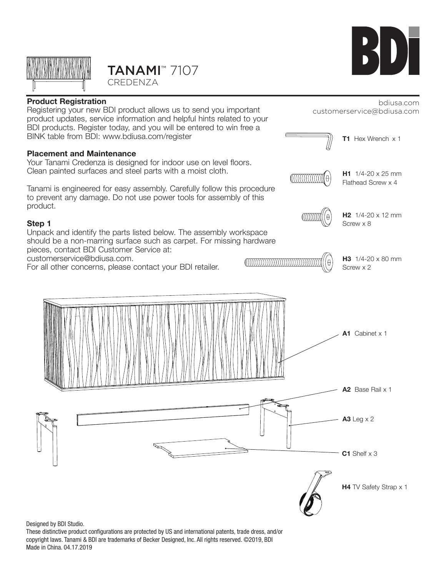

# TANAMI™ 7107 CREDENZA





Designed by BDI Studio.

These distinctive product configurations are protected by US and international patents, trade dress, and/or copyright laws. Tanami & BDI are trademarks of Becker Designed, Inc. All rights reserved. ©2019, BDI Made in China. 04.17.2019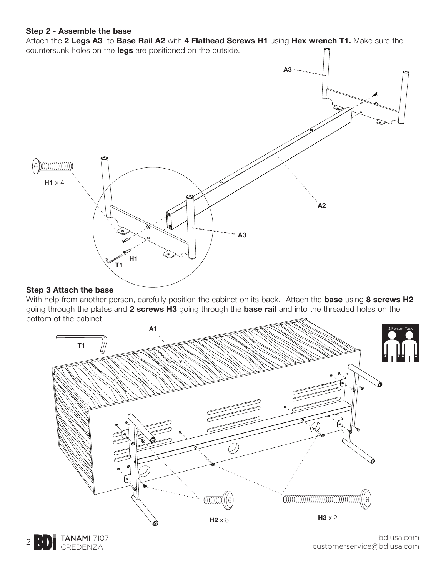#### **Step 2 - Assemble the base**

Attach the **2 Legs A3** to **Base Rail A2** with **4 Flathead Screws H1** using **Hex wrench T1.** Make sure the countersunk holes on the **legs** are positioned on the outside.



#### **Step 3 Attach the base**

With help from another person, carefully position the cabinet on its back. Attach the **base** using **8 screws H2**  going through the plates and **2 screws H3** going through the **base rail** and into the threaded holes on the bottom of the cabinet.



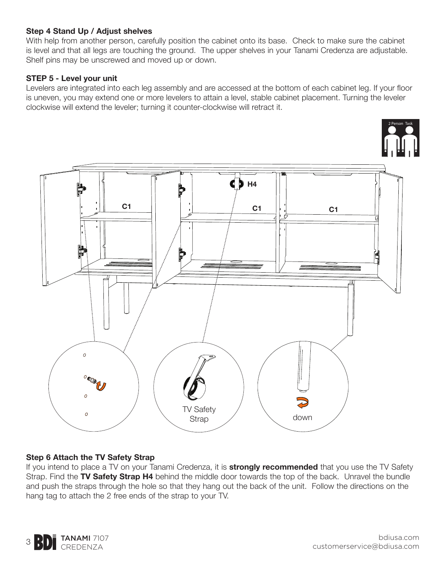## **Step 4 Stand Up / Adjust shelves**

With help from another person, carefully position the cabinet onto its base. Check to make sure the cabinet is level and that all legs are touching the ground. The upper shelves in your Tanami Credenza are adjustable. Shelf pins may be unscrewed and moved up or down.

## **STEP 5 - Level your unit**

Levelers are integrated into each leg assembly and are accessed at the bottom of each cabinet leg. If your floor is uneven, you may extend one or more levelers to attain a level, stable cabinet placement. Turning the leveler clockwise will extend the leveler; turning it counter-clockwise will retract it.



#### **Step 6 Attach the TV Safety Strap**

If you intend to place a TV on your Tanami Credenza, it is **strongly recommended** that you use the TV Safety Strap. Find the **TV Safety Strap H4** behind the middle door towards the top of the back. Unravel the bundle and push the straps through the hole so that they hang out the back of the unit. Follow the directions on the hang tag to attach the 2 free ends of the strap to your TV.



2 Person Task